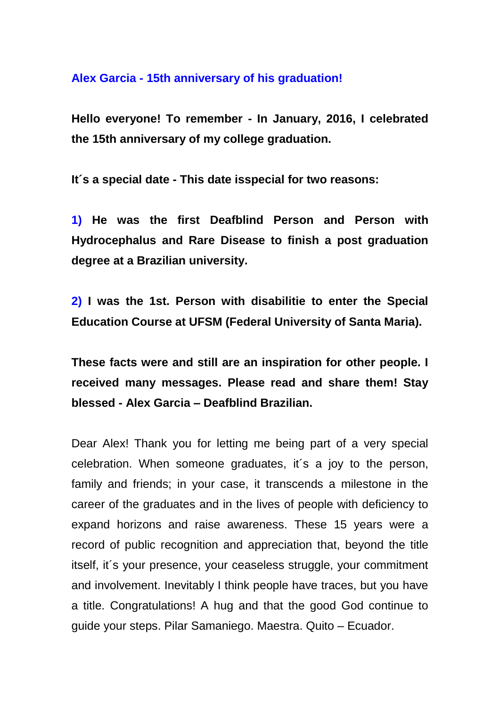## **Alex Garcia - 15th anniversary of his graduation!**

**Hello everyone! To remember - In January, 2016, I celebrated the 15th anniversary of my college graduation.** 

**It´s a special date - This date isspecial for two reasons:** 

**1) He was the first Deafblind Person and Person with Hydrocephalus and Rare Disease to finish a post graduation degree at a Brazilian university.** 

**2) I was the 1st. Person with disabilitie to enter the Special Education Course at UFSM (Federal University of Santa Maria).** 

**These facts were and still are an inspiration for other people. I received many messages. Please read and share them! Stay blessed - Alex Garcia – Deafblind Brazilian.**

Dear Alex! Thank you for letting me being part of a very special celebration. When someone graduates, it´s a joy to the person, family and friends; in your case, it transcends a milestone in the career of the graduates and in the lives of people with deficiency to expand horizons and raise awareness. These 15 years were a record of public recognition and appreciation that, beyond the title itself, it´s your presence, your ceaseless struggle, your commitment and involvement. Inevitably I think people have traces, but you have a title. Congratulations! A hug and that the good God continue to guide your steps. Pilar Samaniego. Maestra. Quito – Ecuador.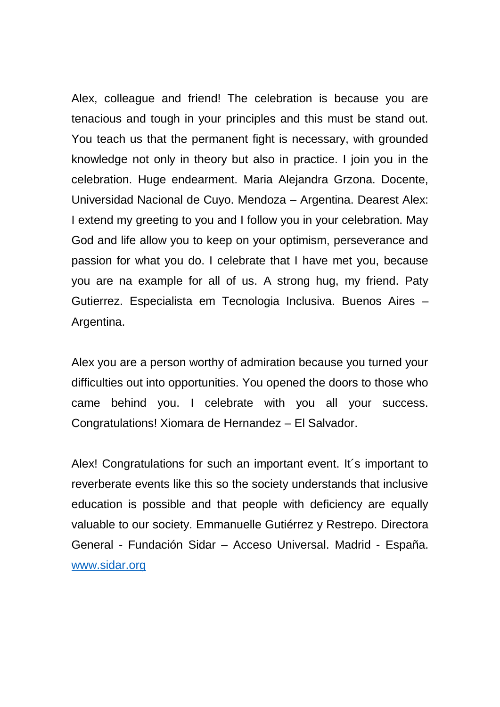Alex, colleague and friend! The celebration is because you are tenacious and tough in your principles and this must be stand out. You teach us that the permanent fight is necessary, with grounded knowledge not only in theory but also in practice. I join you in the celebration. Huge endearment. Maria Alejandra Grzona. Docente, Universidad Nacional de Cuyo. Mendoza – Argentina. Dearest Alex: I extend my greeting to you and I follow you in your celebration. May God and life allow you to keep on your optimism, perseverance and passion for what you do. I celebrate that I have met you, because you are na example for all of us. A strong hug, my friend. Paty Gutierrez. Especialista em Tecnologia Inclusiva. Buenos Aires – Argentina.

Alex you are a person worthy of admiration because you turned your difficulties out into opportunities. You opened the doors to those who came behind you. I celebrate with you all your success. Congratulations! Xiomara de Hernandez – El Salvador.

Alex! Congratulations for such an important event. It´s important to reverberate events like this so the society understands that inclusive education is possible and that people with deficiency are equally valuable to our society. Emmanuelle Gutiérrez y Restrepo. Directora General - Fundación Sidar – Acceso Universal. Madrid - España. [www.sidar.org](http://www.sidar.org/)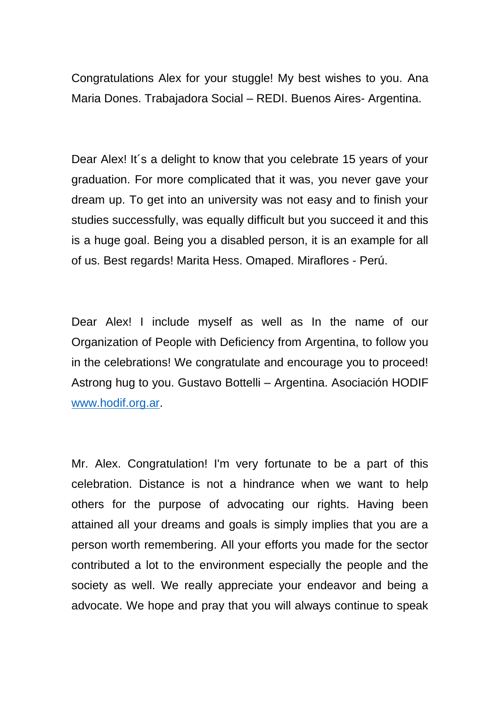Congratulations Alex for your stuggle! My best wishes to you. Ana Maria Dones. Trabajadora Social – REDI. Buenos Aires- Argentina.

Dear Alex! It's a delight to know that you celebrate 15 years of your graduation. For more complicated that it was, you never gave your dream up. To get into an university was not easy and to finish your studies successfully, was equally difficult but you succeed it and this is a huge goal. Being you a disabled person, it is an example for all of us. Best regards! Marita Hess. Omaped. Miraflores - Perú.

Dear Alex! I include myself as well as In the name of our Organization of People with Deficiency from Argentina, to follow you in the celebrations! We congratulate and encourage you to proceed! Astrong hug to you. Gustavo Bottelli – Argentina. Asociación HODIF [www.hodif.org.ar.](http://www.hodif.org.ar/)

Mr. Alex. Congratulation! I'm very fortunate to be a part of this celebration. Distance is not a hindrance when we want to help others for the purpose of advocating our rights. Having been attained all your dreams and goals is simply implies that you are a person worth remembering. All your efforts you made for the sector contributed a lot to the environment especially the people and the society as well. We really appreciate your endeavor and being a advocate. We hope and pray that you will always continue to speak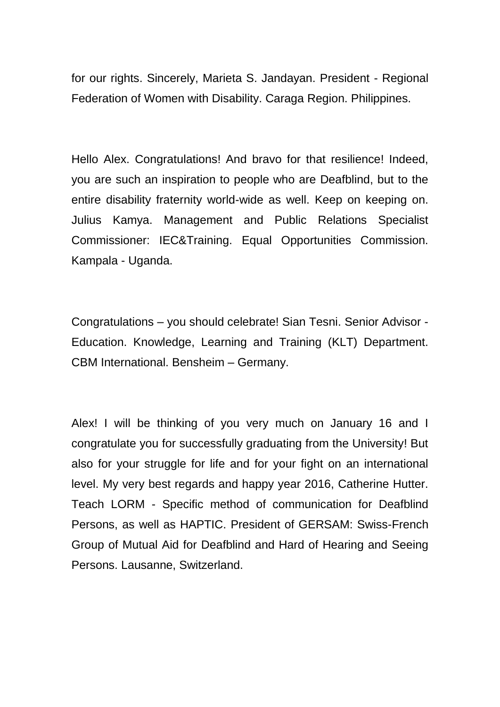for our rights. Sincerely, Marieta S. Jandayan. President - Regional Federation of Women with Disability. Caraga Region. Philippines.

Hello Alex. Congratulations! And bravo for that resilience! Indeed, you are such an inspiration to people who are Deafblind, but to the entire disability fraternity world-wide as well. Keep on keeping on. Julius Kamya. Management and Public Relations Specialist Commissioner: IEC&Training. Equal Opportunities Commission. Kampala - Uganda.

Congratulations – you should celebrate! Sian Tesni. Senior Advisor - Education. Knowledge, Learning and Training (KLT) Department. CBM International. Bensheim – Germany.

Alex! I will be thinking of you very much on January 16 and I congratulate you for successfully graduating from the University! But also for your struggle for life and for your fight on an international level. My very best regards and happy year 2016, Catherine Hutter. Teach LORM - Specific method of communication for Deafblind Persons, as well as HAPTIC. President of GERSAM: Swiss-French Group of Mutual Aid for Deafblind and Hard of Hearing and Seeing Persons. Lausanne, Switzerland.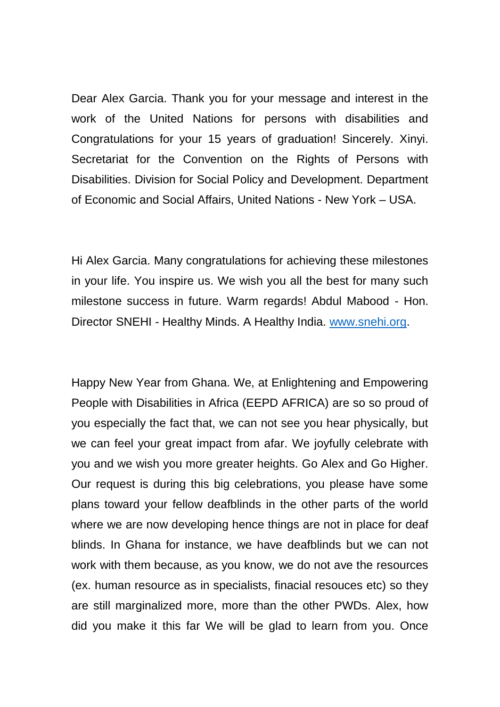Dear Alex Garcia. Thank you for your message and interest in the work of the United Nations for persons with disabilities and Congratulations for your 15 years of graduation! Sincerely. Xinyi. Secretariat for the Convention on the Rights of Persons with Disabilities. Division for Social Policy and Development. Department of Economic and Social Affairs, United Nations - New York – USA.

Hi Alex Garcia. Many congratulations for achieving these milestones in your life. You inspire us. We wish you all the best for many such milestone success in future. Warm regards! Abdul Mabood - Hon. Director SNEHI - Healthy Minds. A Healthy India. [www.snehi.org.](http://www.snehi.org/)

Happy New Year from Ghana. We, at Enlightening and Empowering People with Disabilities in Africa (EEPD AFRICA) are so so proud of you especially the fact that, we can not see you hear physically, but we can feel your great impact from afar. We joyfully celebrate with you and we wish you more greater heights. Go Alex and Go Higher. Our request is during this big celebrations, you please have some plans toward your fellow deafblinds in the other parts of the world where we are now developing hence things are not in place for deaf blinds. In Ghana for instance, we have deafblinds but we can not work with them because, as you know, we do not ave the resources (ex. human resource as in specialists, finacial resouces etc) so they are still marginalized more, more than the other PWDs. Alex, how did you make it this far We will be glad to learn from you. Once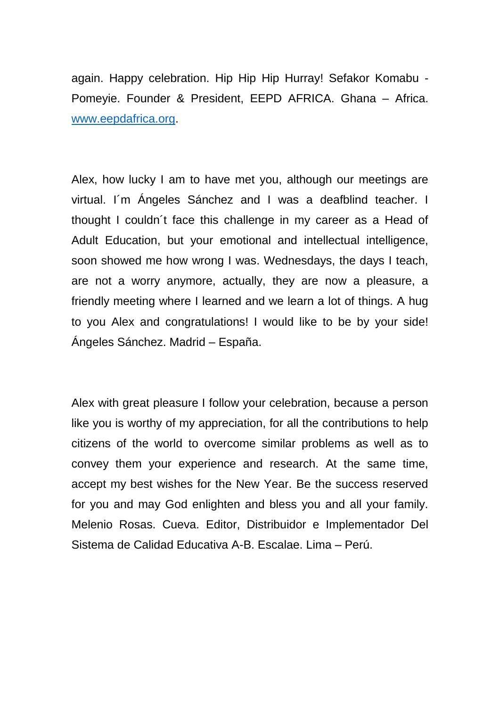again. Happy celebration. Hip Hip Hip Hurray! Sefakor Komabu - Pomeyie. Founder & President, EEPD AFRICA. Ghana – Africa. [www.eepdafrica.org.](http://www.eepdafrica.org/)

Alex, how lucky I am to have met you, although our meetings are virtual. I´m Ángeles Sánchez and I was a deafblind teacher. I thought I couldn´t face this challenge in my career as a Head of Adult Education, but your emotional and intellectual intelligence, soon showed me how wrong I was. Wednesdays, the days I teach, are not a worry anymore, actually, they are now a pleasure, a friendly meeting where I learned and we learn a lot of things. A hug to you Alex and congratulations! I would like to be by your side! Ángeles Sánchez. Madrid – España.

Alex with great pleasure I follow your celebration, because a person like you is worthy of my appreciation, for all the contributions to help citizens of the world to overcome similar problems as well as to convey them your experience and research. At the same time, accept my best wishes for the New Year. Be the success reserved for you and may God enlighten and bless you and all your family. Melenio Rosas. Cueva. Editor, Distribuidor e Implementador Del Sistema de Calidad Educativa A-B. Escalae. Lima – Perú.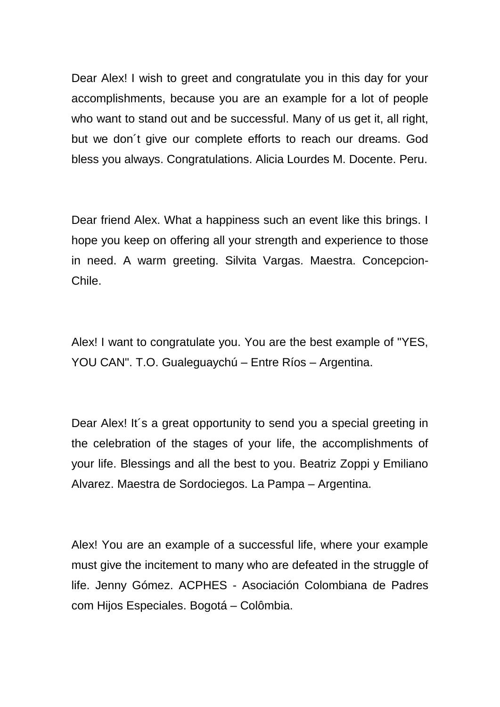Dear Alex! I wish to greet and congratulate you in this day for your accomplishments, because you are an example for a lot of people who want to stand out and be successful. Many of us get it, all right, but we don´t give our complete efforts to reach our dreams. God bless you always. Congratulations. Alicia Lourdes M. Docente. Peru.

Dear friend Alex. What a happiness such an event like this brings. I hope you keep on offering all your strength and experience to those in need. A warm greeting. Silvita Vargas. Maestra. Concepcion-Chile.

Alex! I want to congratulate you. You are the best example of "YES, YOU CAN". T.O. Gualeguaychú – Entre Ríos – Argentina.

Dear Alex! It's a great opportunity to send you a special greeting in the celebration of the stages of your life, the accomplishments of your life. Blessings and all the best to you. Beatriz Zoppi y Emiliano Alvarez. Maestra de Sordociegos. La Pampa – Argentina.

Alex! You are an example of a successful life, where your example must give the incitement to many who are defeated in the struggle of life. Jenny Gómez. ACPHES - Asociación Colombiana de Padres com Hijos Especiales. Bogotá – Colômbia.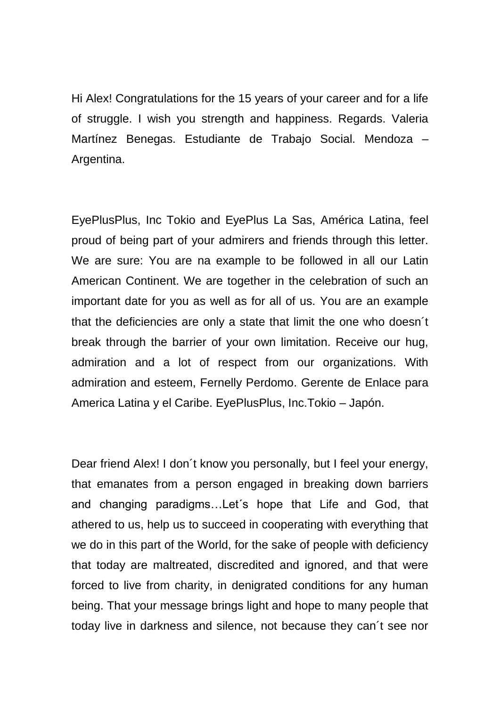Hi Alex! Congratulations for the 15 years of your career and for a life of struggle. I wish you strength and happiness. Regards. Valeria Martínez Benegas. Estudiante de Trabajo Social. Mendoza – Argentina.

EyePlusPlus, Inc Tokio and EyePlus La Sas, América Latina, feel proud of being part of your admirers and friends through this letter. We are sure: You are na example to be followed in all our Latin American Continent. We are together in the celebration of such an important date for you as well as for all of us. You are an example that the deficiencies are only a state that limit the one who doesn´t break through the barrier of your own limitation. Receive our hug, admiration and a lot of respect from our organizations. With admiration and esteem, Fernelly Perdomo. Gerente de Enlace para America Latina y el Caribe. EyePlusPlus, Inc.Tokio – Japón.

Dear friend Alex! I don´t know you personally, but I feel your energy, that emanates from a person engaged in breaking down barriers and changing paradigms…Let´s hope that Life and God, that athered to us, help us to succeed in cooperating with everything that we do in this part of the World, for the sake of people with deficiency that today are maltreated, discredited and ignored, and that were forced to live from charity, in denigrated conditions for any human being. That your message brings light and hope to many people that today live in darkness and silence, not because they can´t see nor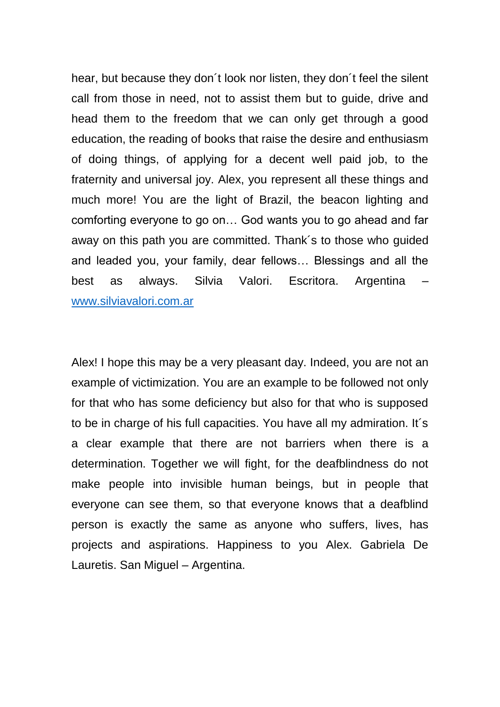hear, but because they don´t look nor listen, they don´t feel the silent call from those in need, not to assist them but to guide, drive and head them to the freedom that we can only get through a good education, the reading of books that raise the desire and enthusiasm of doing things, of applying for a decent well paid job, to the fraternity and universal joy. Alex, you represent all these things and much more! You are the light of Brazil, the beacon lighting and comforting everyone to go on… God wants you to go ahead and far away on this path you are committed. Thank´s to those who guided and leaded you, your family, dear fellows… Blessings and all the best as always. Silvia Valori. Escritora. Argentina – [www.silviavalori.com.ar](http://www.silviavalori.com.ar/)

Alex! I hope this may be a very pleasant day. Indeed, you are not an example of victimization. You are an example to be followed not only for that who has some deficiency but also for that who is supposed to be in charge of his full capacities. You have all my admiration. It´s a clear example that there are not barriers when there is a determination. Together we will fight, for the deafblindness do not make people into invisible human beings, but in people that everyone can see them, so that everyone knows that a deafblind person is exactly the same as anyone who suffers, lives, has projects and aspirations. Happiness to you Alex. Gabriela De Lauretis. San Miguel – Argentina.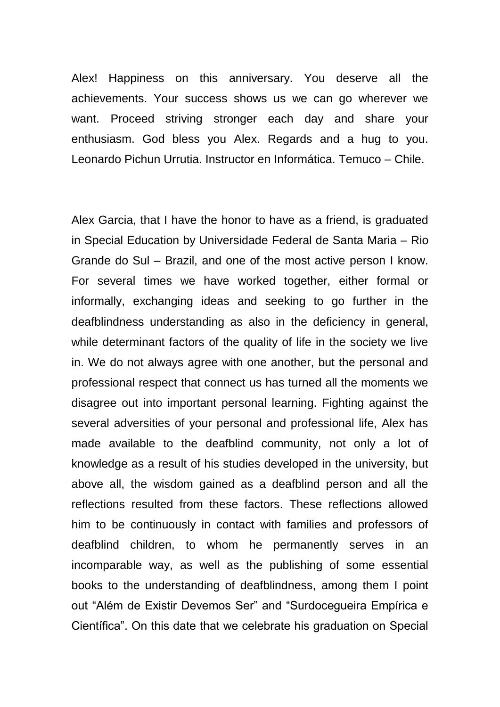Alex! Happiness on this anniversary. You deserve all the achievements. Your success shows us we can go wherever we want. Proceed striving stronger each day and share your enthusiasm. God bless you Alex. Regards and a hug to you. Leonardo Pichun Urrutia. Instructor en Informática. Temuco – Chile.

Alex Garcia, that I have the honor to have as a friend, is graduated in Special Education by Universidade Federal de Santa Maria – Rio Grande do Sul – Brazil, and one of the most active person I know. For several times we have worked together, either formal or informally, exchanging ideas and seeking to go further in the deafblindness understanding as also in the deficiency in general, while determinant factors of the quality of life in the society we live in. We do not always agree with one another, but the personal and professional respect that connect us has turned all the moments we disagree out into important personal learning. Fighting against the several adversities of your personal and professional life, Alex has made available to the deafblind community, not only a lot of knowledge as a result of his studies developed in the university, but above all, the wisdom gained as a deafblind person and all the reflections resulted from these factors. These reflections allowed him to be continuously in contact with families and professors of deafblind children, to whom he permanently serves in an incomparable way, as well as the publishing of some essential books to the understanding of deafblindness, among them I point out "Além de Existir Devemos Ser" and "Surdocegueira Empírica e Científica". On this date that we celebrate his graduation on Special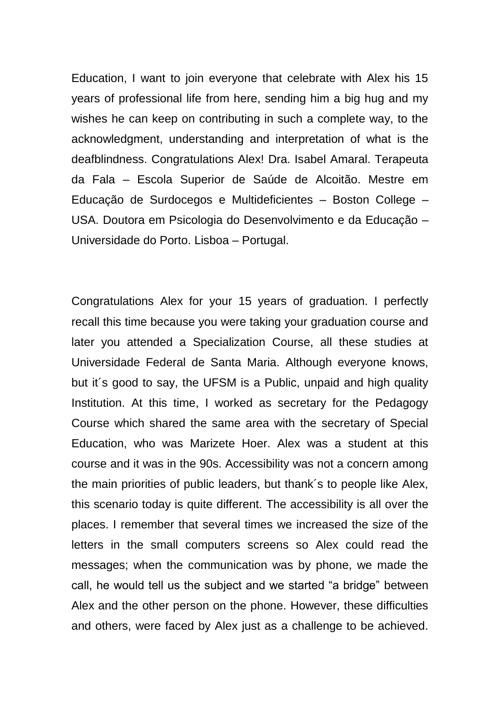Education, I want to join everyone that celebrate with Alex his 15 years of professional life from here, sending him a big hug and my wishes he can keep on contributing in such a complete way, to the acknowledgment, understanding and interpretation of what is the deafblindness. Congratulations Alex! Dra. Isabel Amaral. Terapeuta da Fala – Escola Superior de Saúde de Alcoitão. Mestre em Educação de Surdocegos e Multideficientes – Boston College – USA. Doutora em Psicologia do Desenvolvimento e da Educação – Universidade do Porto. Lisboa – Portugal.

Congratulations Alex for your 15 years of graduation. I perfectly recall this time because you were taking your graduation course and later you attended a Specialization Course, all these studies at Universidade Federal de Santa Maria. Although everyone knows, but it´s good to say, the UFSM is a Public, unpaid and high quality Institution. At this time, I worked as secretary for the Pedagogy Course which shared the same area with the secretary of Special Education, who was Marizete Hoer. Alex was a student at this course and it was in the 90s. Accessibility was not a concern among the main priorities of public leaders, but thank´s to people like Alex, this scenario today is quite different. The accessibility is all over the places. I remember that several times we increased the size of the letters in the small computers screens so Alex could read the messages; when the communication was by phone, we made the call, he would tell us the subject and we started "a bridge" between Alex and the other person on the phone. However, these difficulties and others, were faced by Alex just as a challenge to be achieved.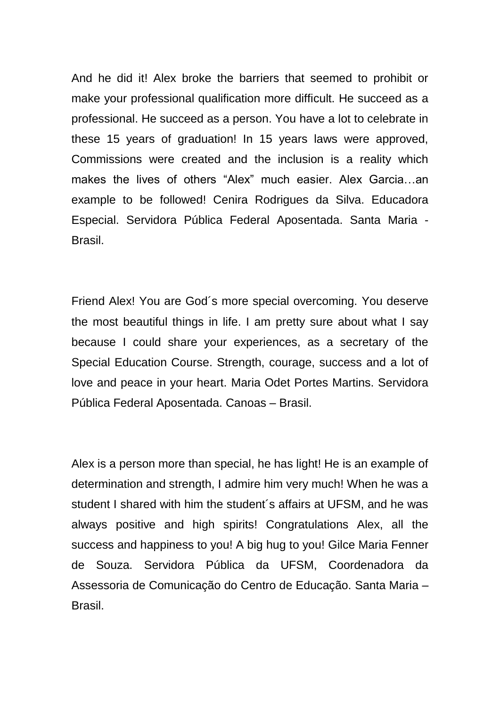And he did it! Alex broke the barriers that seemed to prohibit or make your professional qualification more difficult. He succeed as a professional. He succeed as a person. You have a lot to celebrate in these 15 years of graduation! In 15 years laws were approved, Commissions were created and the inclusion is a reality which makes the lives of others "Alex" much easier. Alex Garcia…an example to be followed! Cenira Rodrigues da Silva. Educadora Especial. Servidora Pública Federal Aposentada. Santa Maria - Brasil.

Friend Alex! You are God´s more special overcoming. You deserve the most beautiful things in life. I am pretty sure about what I say because I could share your experiences, as a secretary of the Special Education Course. Strength, courage, success and a lot of love and peace in your heart. Maria Odet Portes Martins. Servidora Pública Federal Aposentada. Canoas – Brasil.

Alex is a person more than special, he has light! He is an example of determination and strength, I admire him very much! When he was a student I shared with him the student´s affairs at UFSM, and he was always positive and high spirits! Congratulations Alex, all the success and happiness to you! A big hug to you! Gilce Maria Fenner de Souza. Servidora Pública da UFSM, Coordenadora da Assessoria de Comunicação do Centro de Educação. Santa Maria – Brasil.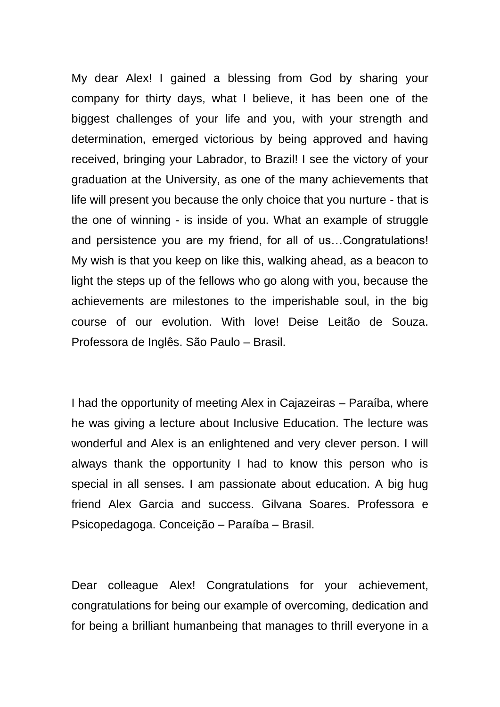My dear Alex! I gained a blessing from God by sharing your company for thirty days, what I believe, it has been one of the biggest challenges of your life and you, with your strength and determination, emerged victorious by being approved and having received, bringing your Labrador, to Brazil! I see the victory of your graduation at the University, as one of the many achievements that life will present you because the only choice that you nurture - that is the one of winning - is inside of you. What an example of struggle and persistence you are my friend, for all of us…Congratulations! My wish is that you keep on like this, walking ahead, as a beacon to light the steps up of the fellows who go along with you, because the achievements are milestones to the imperishable soul, in the big course of our evolution. With love! Deise Leitão de Souza. Professora de Inglês. São Paulo – Brasil.

I had the opportunity of meeting Alex in Cajazeiras – Paraíba, where he was giving a lecture about Inclusive Education. The lecture was wonderful and Alex is an enlightened and very clever person. I will always thank the opportunity I had to know this person who is special in all senses. I am passionate about education. A big hug friend Alex Garcia and success. Gilvana Soares. Professora e Psicopedagoga. Conceição – Paraíba – Brasil.

Dear colleague Alex! Congratulations for your achievement, congratulations for being our example of overcoming, dedication and for being a brilliant humanbeing that manages to thrill everyone in a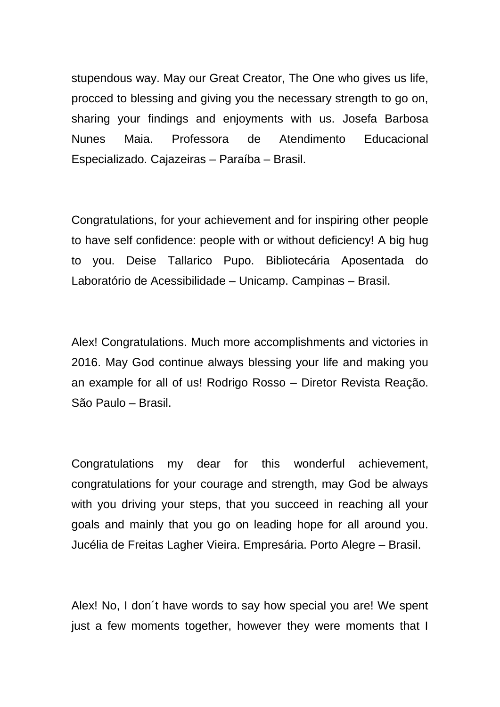stupendous way. May our Great Creator, The One who gives us life, procced to blessing and giving you the necessary strength to go on, sharing your findings and enjoyments with us. Josefa Barbosa Nunes Maia. Professora de Atendimento Educacional Especializado. Cajazeiras – Paraíba – Brasil.

Congratulations, for your achievement and for inspiring other people to have self confidence: people with or without deficiency! A big hug to you. Deise Tallarico Pupo. Bibliotecária Aposentada do Laboratório de Acessibilidade – Unicamp. Campinas – Brasil.

Alex! Congratulations. Much more accomplishments and victories in 2016. May God continue always blessing your life and making you an example for all of us! Rodrigo Rosso – Diretor Revista Reação. São Paulo – Brasil.

Congratulations my dear for this wonderful achievement, congratulations for your courage and strength, may God be always with you driving your steps, that you succeed in reaching all your goals and mainly that you go on leading hope for all around you. Jucélia de Freitas Lagher Vieira. Empresária. Porto Alegre – Brasil.

Alex! No, I don´t have words to say how special you are! We spent just a few moments together, however they were moments that I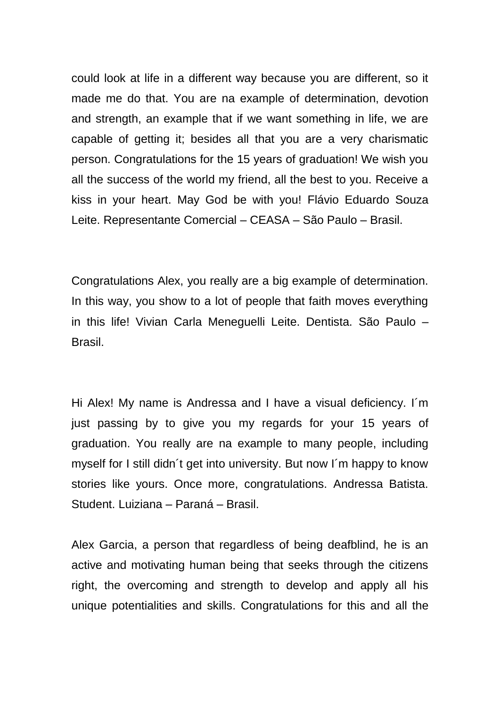could look at life in a different way because you are different, so it made me do that. You are na example of determination, devotion and strength, an example that if we want something in life, we are capable of getting it; besides all that you are a very charismatic person. Congratulations for the 15 years of graduation! We wish you all the success of the world my friend, all the best to you. Receive a kiss in your heart. May God be with you! Flávio Eduardo Souza Leite. Representante Comercial – CEASA – São Paulo – Brasil.

Congratulations Alex, you really are a big example of determination. In this way, you show to a lot of people that faith moves everything in this life! Vivian Carla Meneguelli Leite. Dentista. São Paulo – Brasil.

Hi Alex! My name is Andressa and I have a visual deficiency. I´m just passing by to give you my regards for your 15 years of graduation. You really are na example to many people, including myself for I still didn´t get into university. But now I´m happy to know stories like yours. Once more, congratulations. Andressa Batista. Student. Luiziana – Paraná – Brasil.

Alex Garcia, a person that regardless of being deafblind, he is an active and motivating human being that seeks through the citizens right, the overcoming and strength to develop and apply all his unique potentialities and skills. Congratulations for this and all the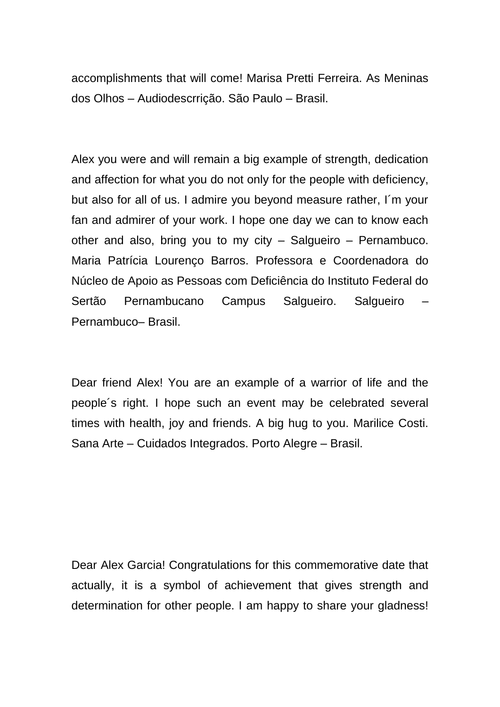accomplishments that will come! Marisa Pretti Ferreira. As Meninas dos Olhos – Audiodescrrição. São Paulo – Brasil.

Alex you were and will remain a big example of strength, dedication and affection for what you do not only for the people with deficiency, but also for all of us. I admire you beyond measure rather, I´m your fan and admirer of your work. I hope one day we can to know each other and also, bring you to my city – Salgueiro – Pernambuco. Maria Patrícia Lourenço Barros. Professora e Coordenadora do Núcleo de Apoio as Pessoas com Deficiência do Instituto Federal do Sertão Pernambucano Campus Salgueiro. Salgueiro Pernambuco– Brasil.

Dear friend Alex! You are an example of a warrior of life and the people´s right. I hope such an event may be celebrated several times with health, joy and friends. A big hug to you. Marilice Costi. Sana Arte – Cuidados Integrados. Porto Alegre – Brasil.

Dear Alex Garcia! Congratulations for this commemorative date that actually, it is a symbol of achievement that gives strength and determination for other people. I am happy to share your gladness!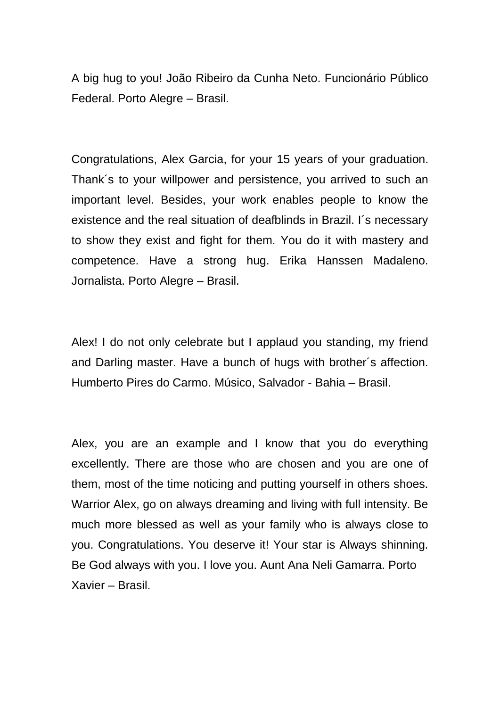A big hug to you! João Ribeiro da Cunha Neto. Funcionário Público Federal. Porto Alegre – Brasil.

Congratulations, Alex Garcia, for your 15 years of your graduation. Thank´s to your willpower and persistence, you arrived to such an important level. Besides, your work enables people to know the existence and the real situation of deafblinds in Brazil. I´s necessary to show they exist and fight for them. You do it with mastery and competence. Have a strong hug. Erika Hanssen Madaleno. Jornalista. Porto Alegre – Brasil.

Alex! I do not only celebrate but I applaud you standing, my friend and Darling master. Have a bunch of hugs with brother´s affection. Humberto Pires do Carmo. Músico, Salvador - Bahia – Brasil.

Alex, you are an example and I know that you do everything excellently. There are those who are chosen and you are one of them, most of the time noticing and putting yourself in others shoes. Warrior Alex, go on always dreaming and living with full intensity. Be much more blessed as well as your family who is always close to you. Congratulations. You deserve it! Your star is Always shinning. Be God always with you. I love you. Aunt Ana Neli Gamarra. Porto Xavier – Brasil.